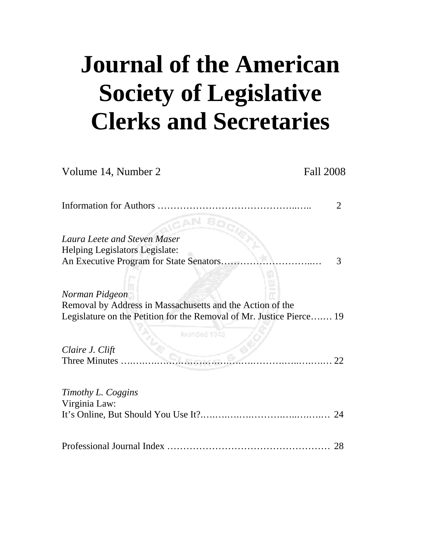# **Journal of the American Society of Legislative Clerks and Secretaries**

| Volume 14, Number 2                                                                                                                                 | <b>Fall 2008</b> |
|-----------------------------------------------------------------------------------------------------------------------------------------------------|------------------|
|                                                                                                                                                     | 2                |
| Laura Leete and Steven Maser                                                                                                                        |                  |
| Helping Legislators Legislate:<br>An Executive Program for State Senators                                                                           | 3                |
| Norman Pidgeon<br>Removal by Address in Massachusetts and the Action of the<br>Legislature on the Petition for the Removal of Mr. Justice Pierce 19 |                  |
| lounded 1943                                                                                                                                        |                  |
| Claire J. Clift<br>Three Minutes                                                                                                                    |                  |
| Timothy L. Coggins                                                                                                                                  |                  |
| Virginia Law:                                                                                                                                       |                  |
|                                                                                                                                                     | 28               |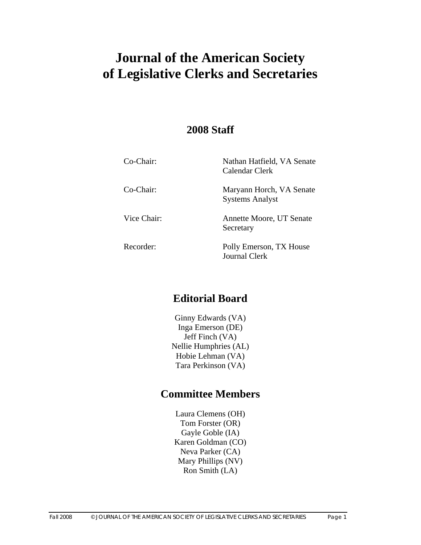# **Journal of the American Society of Legislative Clerks and Secretaries**

# **2008 Staff**

| Co-Chair:   | Nathan Hatfield, VA Senate<br>Calendar Clerk       |
|-------------|----------------------------------------------------|
| Co-Chair:   | Maryann Horch, VA Senate<br><b>Systems Analyst</b> |
| Vice Chair: | Annette Moore, UT Senate<br>Secretary              |
| Recorder:   | Polly Emerson, TX House<br><b>Journal Clerk</b>    |

# **Editorial Board**

Ginny Edwards (VA) Inga Emerson (DE) Jeff Finch (VA) Nellie Humphries (AL) Hobie Lehman (VA) Tara Perkinson (VA)

# **Committee Members**

Laura Clemens (OH) Tom Forster (OR) Gayle Goble (IA) Karen Goldman (CO) Neva Parker (CA) Mary Phillips (NV) Ron Smith (LA)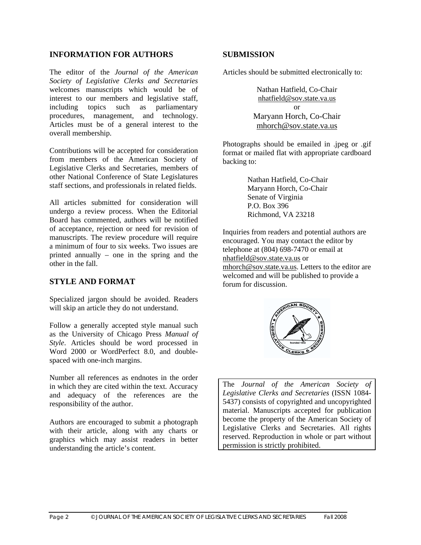#### **INFORMATION FOR AUTHORS**

The editor of the *Journal of the American Society of Legislative Clerks and Secretaries* welcomes manuscripts which would be of interest to our members and legislative staff, including topics such as parliamentary procedures, management, and technology. Articles must be of a general interest to the overall membership.

Contributions will be accepted for consideration from members of the American Society of Legislative Clerks and Secretaries, members of other National Conference of State Legislatures staff sections, and professionals in related fields.

All articles submitted for consideration will undergo a review process. When the Editorial Board has commented, authors will be notified of acceptance, rejection or need for revision of manuscripts. The review procedure will require a minimum of four to six weeks. Two issues are printed annually – one in the spring and the other in the fall.

#### **STYLE AND FORMAT**

Specialized jargon should be avoided. Readers will skip an article they do not understand.

Follow a generally accepted style manual such as the University of Chicago Press *Manual of Style*. Articles should be word processed in Word 2000 or WordPerfect 8.0, and doublespaced with one-inch margins.

Number all references as endnotes in the order in which they are cited within the text. Accuracy and adequacy of the references are the responsibility of the author.

Authors are encouraged to submit a photograph with their article, along with any charts or graphics which may assist readers in better understanding the article's content.

#### **SUBMISSION**

Articles should be submitted electronically to:

Nathan Hatfield, Co-Chair [nhatfield@sov.state.va.us](mailto:nhatfield@sov.state.va.us) or Maryann Horch, Co-Chair [mhorch@sov.state.va.us](mailto:mhorch@sov.state.va.us)

Photographs should be emailed in .jpeg or .gif format or mailed flat with appropriate cardboard backing to:

> Nathan Hatfield, Co-Chair Maryann Horch, Co-Chair Senate of Virginia P.O. Box 396 Richmond, VA 23218

Inquiries from readers and potential authors are encouraged. You may contact the editor by telephone at (804) 698-7470 or email at [nhatfield@sov.state.va.us](mailto:nhatfield@sov.state.va.us) or [mhorch@sov.state.va.us.](mailto:mhorch@sov.state.va.us) Letters to the editor are welcomed and will be published to provide a forum for discussion.



The *Journal of the American Society of Legislative Clerks and Secretaries* (ISSN 1084- 5437) consists of copyrighted and uncopyrighted material. Manuscripts accepted for publication become the property of the American Society of Legislative Clerks and Secretaries. All rights reserved. Reproduction in whole or part without permission is strictly prohibited.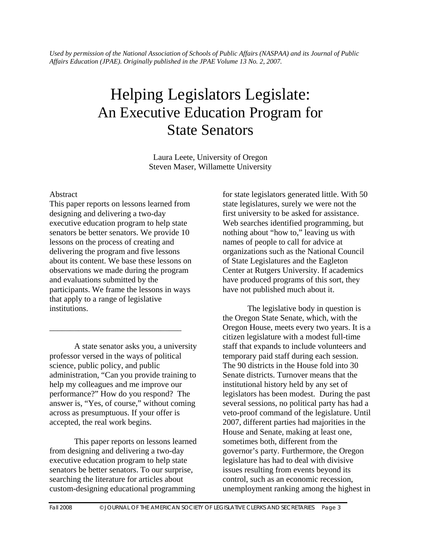*Used by permission of the National Association of Schools of Public Affairs (NASPAA) and its Journal of Public Affairs Education (JPAE). Originally published in the JPAE Volume 13 No. 2, 2007.* 

# Helping Legislators Legislate: An Executive Education Program for State Senators

Laura Leete, University of Oregon Steven Maser, Willamette University

#### **Abstract**

This paper reports on lessons learned from designing and delivering a two-day executive education program to help state senators be better senators. We provide 10 lessons on the process of creating and delivering the program and five lessons about its content. We base these lessons on observations we made during the program and evaluations submitted by the participants. We frame the lessons in ways that apply to a range of legislative institutions.

A state senator asks you, a university professor versed in the ways of political science, public policy, and public administration, "Can you provide training to help my colleagues and me improve our performance?" How do you respond? The answer is, "Yes, of course," without coming across as presumptuous. If your offer is accepted, the real work begins.

\_\_\_\_\_\_\_\_\_\_\_\_\_\_\_\_\_\_\_\_\_\_\_\_\_\_\_\_\_\_\_\_

This paper reports on lessons learned from designing and delivering a two-day executive education program to help state senators be better senators. To our surprise, searching the literature for articles about custom-designing educational programming

for state legislators generated little. With 50 state legislatures, surely we were not the first university to be asked for assistance. Web searches identified programming, but nothing about "how to," leaving us with names of people to call for advice at organizations such as the National Council of State Legislatures and the Eagleton Center at Rutgers University. If academics have produced programs of this sort, they have not published much about it.

The legislative body in question is the Oregon State Senate, which, with the Oregon House, meets every two years. It is a citizen legislature with a modest full-time staff that expands to include volunteers and temporary paid staff during each session. The 90 districts in the House fold into 30 Senate districts. Turnover means that the institutional history held by any set of legislators has been modest. During the past several sessions, no political party has had a veto-proof command of the legislature. Until 2007, different parties had majorities in the House and Senate, making at least one, sometimes both, different from the governor's party. Furthermore, the Oregon legislature has had to deal with divisive issues resulting from events beyond its control, such as an economic recession, unemployment ranking among the highest in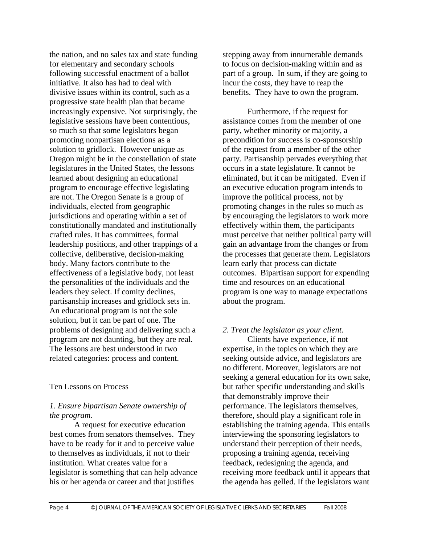the nation, and no sales tax and state funding for elementary and secondary schools following successful enactment of a ballot initiative. It also has had to deal with divisive issues within its control, such as a progressive state health plan that became increasingly expensive. Not surprisingly, the legislative sessions have been contentious, so much so that some legislators began promoting nonpartisan elections as a solution to gridlock. However unique as Oregon might be in the constellation of state legislatures in the United States, the lessons learned about designing an educational program to encourage effective legislating are not. The Oregon Senate is a group of individuals, elected from geographic jurisdictions and operating within a set of constitutionally mandated and institutionally crafted rules. It has committees, formal leadership positions, and other trappings of a collective, deliberative, decision-making body. Many factors contribute to the effectiveness of a legislative body, not least the personalities of the individuals and the leaders they select. If comity declines, partisanship increases and gridlock sets in. An educational program is not the sole solution, but it can be part of one. The problems of designing and delivering such a program are not daunting, but they are real. The lessons are best understood in two related categories: process and content.

#### Ten Lessons on Process

#### *1. Ensure bipartisan Senate ownership of the program.*

A request for executive education best comes from senators themselves. They have to be ready for it and to perceive value to themselves as individuals, if not to their institution. What creates value for a legislator is something that can help advance his or her agenda or career and that justifies

stepping away from innumerable demands to focus on decision-making within and as part of a group. In sum, if they are going to incur the costs, they have to reap the benefits. They have to own the program.

Furthermore, if the request for assistance comes from the member of one party, whether minority or majority, a precondition for success is co-sponsorship of the request from a member of the other party. Partisanship pervades everything that occurs in a state legislature. It cannot be eliminated, but it can be mitigated. Even if an executive education program intends to improve the political process, not by promoting changes in the rules so much as by encouraging the legislators to work more effectively within them, the participants must perceive that neither political party will gain an advantage from the changes or from the processes that generate them. Legislators learn early that process can dictate outcomes. Bipartisan support for expending time and resources on an educational program is one way to manage expectations about the program.

### *2. Treat the legislator as your client.*

Clients have experience, if not expertise, in the topics on which they are seeking outside advice, and legislators are no different. Moreover, legislators are not seeking a general education for its own sake, but rather specific understanding and skills that demonstrably improve their performance. The legislators themselves, therefore, should play a significant role in establishing the training agenda. This entails interviewing the sponsoring legislators to understand their perception of their needs, proposing a training agenda, receiving feedback, redesigning the agenda, and receiving more feedback until it appears that the agenda has gelled. If the legislators want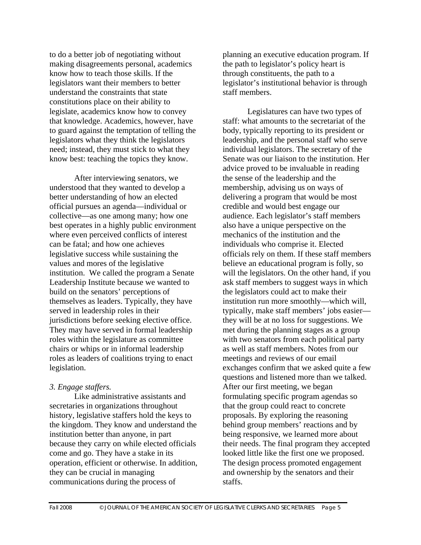to do a better job of negotiating without making disagreements personal, academics know how to teach those skills. If the legislators want their members to better understand the constraints that state constitutions place on their ability to legislate, academics know how to convey that knowledge. Academics, however, have to guard against the temptation of telling the legislators what they think the legislators need; instead, they must stick to what they know best: teaching the topics they know.

After interviewing senators, we understood that they wanted to develop a better understanding of how an elected official pursues an agenda—individual or collective—as one among many; how one best operates in a highly public environment where even perceived conflicts of interest can be fatal; and how one achieves legislative success while sustaining the values and mores of the legislative institution. We called the program a Senate Leadership Institute because we wanted to build on the senators' perceptions of themselves as leaders. Typically, they have served in leadership roles in their jurisdictions before seeking elective office. They may have served in formal leadership roles within the legislature as committee chairs or whips or in informal leadership roles as leaders of coalitions trying to enact legislation.

#### *3. Engage staffers.*

Like administrative assistants and secretaries in organizations throughout history, legislative staffers hold the keys to the kingdom. They know and understand the institution better than anyone, in part because they carry on while elected officials come and go. They have a stake in its operation, efficient or otherwise. In addition, they can be crucial in managing communications during the process of

planning an executive education program. If the path to legislator's policy heart is through constituents, the path to a legislator's institutional behavior is through staff members.

Legislatures can have two types of staff: what amounts to the secretariat of the body, typically reporting to its president or leadership, and the personal staff who serve individual legislators. The secretary of the Senate was our liaison to the institution. Her advice proved to be invaluable in reading the sense of the leadership and the membership, advising us on ways of delivering a program that would be most credible and would best engage our audience. Each legislator's staff members also have a unique perspective on the mechanics of the institution and the individuals who comprise it. Elected officials rely on them. If these staff members believe an educational program is folly, so will the legislators. On the other hand, if you ask staff members to suggest ways in which the legislators could act to make their institution run more smoothly—which will, typically, make staff members' jobs easier they will be at no loss for suggestions. We met during the planning stages as a group with two senators from each political party as well as staff members. Notes from our meetings and reviews of our email exchanges confirm that we asked quite a few questions and listened more than we talked. After our first meeting, we began formulating specific program agendas so that the group could react to concrete proposals. By exploring the reasoning behind group members' reactions and by being responsive, we learned more about their needs. The final program they accepted looked little like the first one we proposed. The design process promoted engagement and ownership by the senators and their staffs.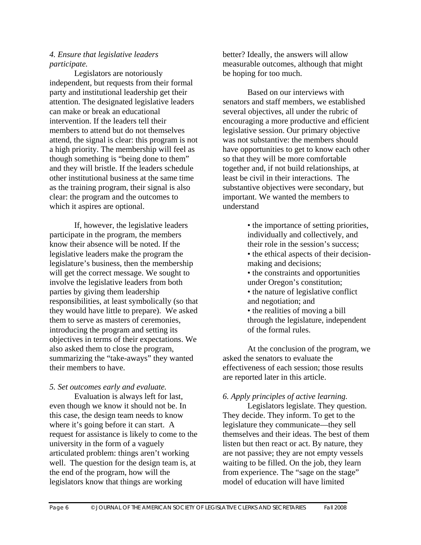#### *4. Ensure that legislative leaders participate.*

Legislators are notoriously independent, but requests from their formal party and institutional leadership get their attention. The designated legislative leaders can make or break an educational intervention. If the leaders tell their members to attend but do not themselves attend, the signal is clear: this program is not a high priority. The membership will feel as though something is "being done to them" and they will bristle. If the leaders schedule other institutional business at the same time as the training program, their signal is also clear: the program and the outcomes to which it aspires are optional.

If, however, the legislative leaders participate in the program, the members know their absence will be noted. If the legislative leaders make the program the legislature's business, then the membership will get the correct message. We sought to involve the legislative leaders from both parties by giving them leadership responsibilities, at least symbolically (so that they would have little to prepare). We asked them to serve as masters of ceremonies, introducing the program and setting its objectives in terms of their expectations. We also asked them to close the program, summarizing the "take-aways" they wanted their members to have.

*5. Set outcomes early and evaluate.*  Evaluation is always left for last, even though we know it should not be. In this case, the design team needs to know where it's going before it can start. A request for assistance is likely to come to the university in the form of a vaguely articulated problem: things aren't working well. The question for the design team is, at the end of the program, how will the legislators know that things are working

better? Ideally, the answers will allow measurable outcomes, although that might be hoping for too much.

Based on our interviews with senators and staff members, we established several objectives, all under the rubric of encouraging a more productive and efficient legislative session. Our primary objective was not substantive: the members should have opportunities to get to know each other so that they will be more comfortable together and, if not build relationships, at least be civil in their interactions. The substantive objectives were secondary, but important. We wanted the members to understand

> • the importance of setting priorities, individually and collectively, and their role in the session's success; • the ethical aspects of their decisionmaking and decisions; • the constraints and opportunities under Oregon's constitution; • the nature of legislative conflict

- and negotiation; and • the realities of moving a bill
- through the legislature, independent of the formal rules.

At the conclusion of the program, we asked the senators to evaluate the effectiveness of each session; those results are reported later in this article.

#### *6. Apply principles of active learning.*

Legislators legislate. They question. They decide. They inform. To get to the legislature they communicate—they sell themselves and their ideas. The best of them listen but then react or act. By nature, they are not passive; they are not empty vessels waiting to be filled. On the job, they learn from experience. The "sage on the stage" model of education will have limited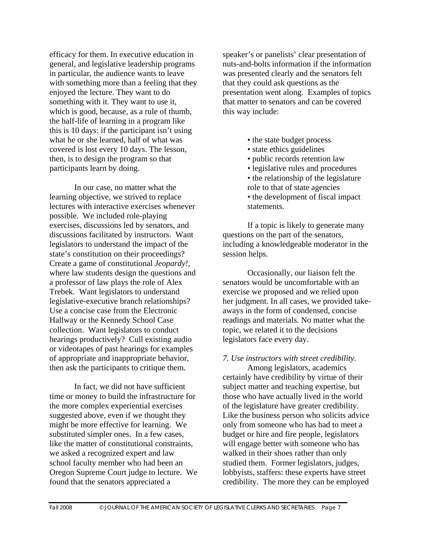efficacy for them. In executive education in general, and legislative leadership programs in particular, the audience wants to leave with something more than a feeling that they enjoyed the lecture. They want to do something with it. They want to use it, which is good, because, as a rule of thumb, the half-life of learning in a program like this is 10 days: if the participant isn't using what he or she learned, half of what was covered is lost every 10 days. The lesson, then, is to design the program so that participants learn by doing.

In our case, no matter what the learning objective, we strived to replace lectures with interactive exercises whenever possible. We included role-playing exercises, discussions led by senators, and discussions facilitated by instructors. Want legislators to understand the impact of the state's constitution on their proceedings? Create a game of constitutional *Jeopardy!,*  where law students design the questions and a professor of law plays the role of Alex Trebek. Want legislators to understand legislative-executive branch relationships? Use a concise case from the Electronic Hallway or the Kennedy School Case collection. Want legislators to conduct hearings productively? Cull existing audio or videotapes of past hearings for examples of appropriate and inappropriate behavior, then ask the participants to critique them.

In fact, we did not have sufficient time or money to build the infrastructure for the more complex experiential exercises suggested above, even if we thought they might be more effective for learning. We substituted simpler ones. In a few cases, like the matter of constitutional constraints, we asked a recognized expert and law school faculty member who had been an Oregon Supreme Court judge to lecture. We found that the senators appreciated a

speaker's or panelists' clear presentation of nuts-and-bolts information if the information was presented clearly and the senators felt that they could ask questions as the presentation went along. Examples of topics that matter to senators and can be covered this way include:

- the state budget process
- state ethics guidelines
- public records retention law
- legislative rules and procedures
- the relationship of the legislature role to that of state agencies
- the development of fiscal impact statements.

If a topic is likely to generate many questions on the part of the senators, including a knowledgeable moderator in the session helps.

Occasionally, our liaison felt the senators would be uncomfortable with an exercise we proposed and we relied upon her judgment. In all cases, we provided takeaways in the form of condensed, concise readings and materials. No matter what the topic, we related it to the decisions legislators face every day.

#### *7. Use instructors with street credibility.*

Among legislators, academics certainly have credibility by virtue of their subject matter and teaching expertise, but those who have actually lived in the world of the legislature have greater credibility. Like the business person who solicits advice only from someone who has had to meet a budget or hire and fire people, legislators will engage better with someone who has walked in their shoes rather than only studied them. Former legislators, judges, lobbyists, staffers: these experts have street credibility. The more they can be employed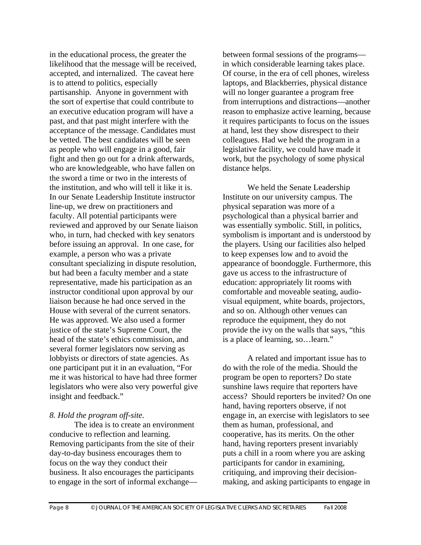in the educational process, the greater the likelihood that the message will be received, accepted, and internalized. The caveat here is to attend to politics, especially partisanship. Anyone in government with the sort of expertise that could contribute to an executive education program will have a past, and that past might interfere with the acceptance of the message. Candidates must be vetted. The best candidates will be seen as people who will engage in a good, fair fight and then go out for a drink afterwards, who are knowledgeable, who have fallen on the sword a time or two in the interests of the institution, and who will tell it like it is. In our Senate Leadership Institute instructor line-up, we drew on practitioners and faculty. All potential participants were reviewed and approved by our Senate liaison who, in turn, had checked with key senators before issuing an approval. In one case, for example, a person who was a private consultant specializing in dispute resolution, but had been a faculty member and a state representative, made his participation as an instructor conditional upon approval by our liaison because he had once served in the House with several of the current senators. He was approved. We also used a former justice of the state's Supreme Court, the head of the state's ethics commission, and several former legislators now serving as lobbyists or directors of state agencies. As one participant put it in an evaluation, "For me it was historical to have had three former legislators who were also very powerful give insight and feedback."

#### *8. Hold the program off-site.*

The idea is to create an environment conducive to reflection and learning. Removing participants from the site of their day-to-day business encourages them to focus on the way they conduct their business. It also encourages the participants to engage in the sort of informal exchangebetween formal sessions of the programs in which considerable learning takes place. Of course, in the era of cell phones, wireless laptops, and Blackberries, physical distance will no longer guarantee a program free from interruptions and distractions—another reason to emphasize active learning, because it requires participants to focus on the issues at hand, lest they show disrespect to their colleagues. Had we held the program in a legislative facility, we could have made it work, but the psychology of some physical distance helps.

We held the Senate Leadership Institute on our university campus. The physical separation was more of a psychological than a physical barrier and was essentially symbolic. Still, in politics, symbolism is important and is understood by the players. Using our facilities also helped to keep expenses low and to avoid the appearance of boondoggle. Furthermore, this gave us access to the infrastructure of education: appropriately lit rooms with comfortable and moveable seating, audiovisual equipment, white boards, projectors, and so on. Although other venues can reproduce the equipment, they do not provide the ivy on the walls that says, "this is a place of learning, so…learn."

A related and important issue has to do with the role of the media. Should the program be open to reporters? Do state sunshine laws require that reporters have access? Should reporters be invited? On one hand, having reporters observe, if not engage in, an exercise with legislators to see them as human, professional, and cooperative, has its merits. On the other hand, having reporters present invariably puts a chill in a room where you are asking participants for candor in examining, critiquing, and improving their decisionmaking, and asking participants to engage in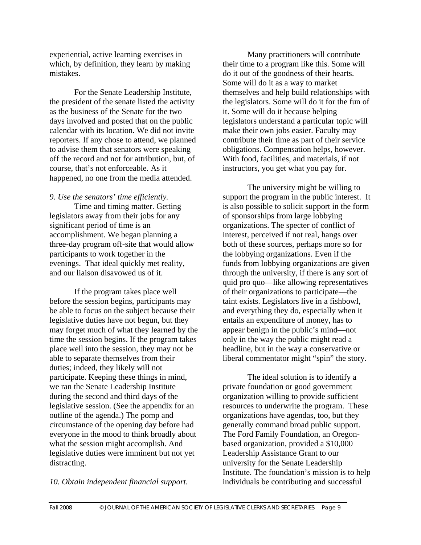experiential, active learning exercises in which, by definition, they learn by making mistakes.

For the Senate Leadership Institute, the president of the senate listed the activity as the business of the Senate for the two days involved and posted that on the public calendar with its location. We did not invite reporters. If any chose to attend, we planned to advise them that senators were speaking off the record and not for attribution, but, of course, that's not enforceable. As it happened, no one from the media attended.

*9. Use the senators' time efficiently.* 

Time and timing matter. Getting legislators away from their jobs for any significant period of time is an accomplishment. We began planning a three-day program off-site that would allow participants to work together in the evenings. That ideal quickly met reality, and our liaison disavowed us of it.

If the program takes place well before the session begins, participants may be able to focus on the subject because their legislative duties have not begun, but they may forget much of what they learned by the time the session begins. If the program takes place well into the session, they may not be able to separate themselves from their duties; indeed, they likely will not participate. Keeping these things in mind, we ran the Senate Leadership Institute during the second and third days of the legislative session. (See the appendix for an outline of the agenda.) The pomp and circumstance of the opening day before had everyone in the mood to think broadly about what the session might accomplish. And legislative duties were imminent but not yet distracting.

*10. Obtain independent financial support.* 

Many practitioners will contribute their time to a program like this. Some will do it out of the goodness of their hearts. Some will do it as a way to market themselves and help build relationships with the legislators. Some will do it for the fun of it. Some will do it because helping legislators understand a particular topic will make their own jobs easier. Faculty may contribute their time as part of their service obligations. Compensation helps, however. With food, facilities, and materials, if not instructors, you get what you pay for.

The university might be willing to support the program in the public interest. It is also possible to solicit support in the form of sponsorships from large lobbying organizations. The specter of conflict of interest, perceived if not real, hangs over both of these sources, perhaps more so for the lobbying organizations. Even if the funds from lobbying organizations are given through the university, if there is any sort of quid pro quo—like allowing representatives of their organizations to participate—the taint exists. Legislators live in a fishbowl, and everything they do, especially when it entails an expenditure of money, has to appear benign in the public's mind—not only in the way the public might read a headline, but in the way a conservative or liberal commentator might "spin" the story.

The ideal solution is to identify a private foundation or good government organization willing to provide sufficient resources to underwrite the program. These organizations have agendas, too, but they generally command broad public support. The Ford Family Foundation, an Oregonbased organization, provided a \$10,000 Leadership Assistance Grant to our university for the Senate Leadership Institute. The foundation's mission is to help individuals be contributing and successful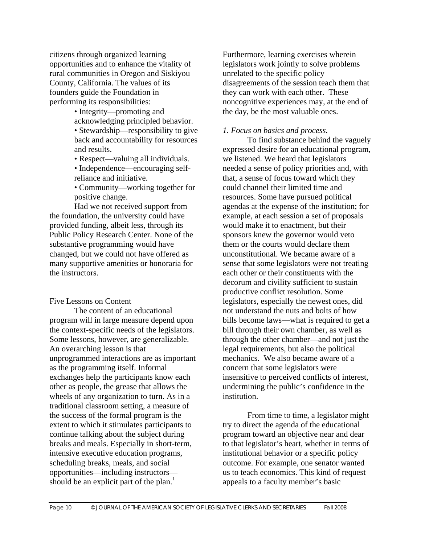citizens through organized learning opportunities and to enhance the vitality of rural communities in Oregon and Siskiyou County, California. The values of its founders guide the Foundation in performing its responsibilities:

> • Integrity—promoting and acknowledging principled behavior.

• Stewardship—responsibility to give back and accountability for resources and results.

• Respect—valuing all individuals.

• Independence—encouraging selfreliance and initiative.

• Community—working together for positive change.

Had we not received support from the foundation, the university could have provided funding, albeit less, through its Public Policy Research Center. None of the substantive programming would have changed, but we could not have offered as many supportive amenities or honoraria for the instructors.

#### Five Lessons on Content

The content of an educational program will in large measure depend upon the context-specific needs of the legislators. Some lessons, however, are generalizable. An overarching lesson is that unprogrammed interactions are as important as the programming itself. Informal exchanges help the participants know each other as people, the grease that allows the wheels of any organization to turn. As in a traditional classroom setting, a measure of the success of the formal program is the extent to which it stimulates participants to continue talking about the subject during breaks and meals. Especially in short-term, intensive executive education programs, scheduling breaks, meals, and social opportunities—including instructors should be an explicit part of the plan.<sup>1</sup>

Furthermore, learning exercises wherein legislators work jointly to solve problems unrelated to the specific policy disagreements of the session teach them that they can work with each other. These noncognitive experiences may, at the end of the day, be the most valuable ones.

#### *1. Focus on basics and process.*

To find substance behind the vaguely expressed desire for an educational program, we listened. We heard that legislators needed a sense of policy priorities and, with that, a sense of focus toward which they could channel their limited time and resources. Some have pursued political agendas at the expense of the institution; for example, at each session a set of proposals would make it to enactment, but their sponsors knew the governor would veto them or the courts would declare them unconstitutional. We became aware of a sense that some legislators were not treating each other or their constituents with the decorum and civility sufficient to sustain productive conflict resolution. Some legislators, especially the newest ones, did not understand the nuts and bolts of how bills become laws—what is required to get a bill through their own chamber, as well as through the other chamber—and not just the legal requirements, but also the political mechanics. We also became aware of a concern that some legislators were insensitive to perceived conflicts of interest, undermining the public's confidence in the institution.

From time to time, a legislator might try to direct the agenda of the educational program toward an objective near and dear to that legislator's heart, whether in terms of institutional behavior or a specific policy outcome. For example, one senator wanted us to teach economics. This kind of request appeals to a faculty member's basic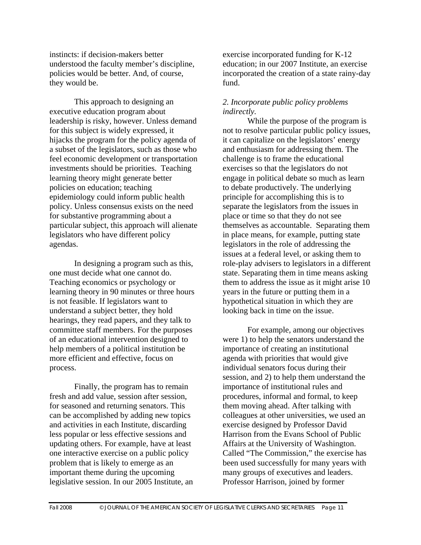instincts: if decision-makers better understood the faculty member's discipline, policies would be better. And, of course, they would be.

This approach to designing an executive education program about leadership is risky, however. Unless demand for this subject is widely expressed, it hijacks the program for the policy agenda of a subset of the legislators, such as those who feel economic development or transportation investments should be priorities. Teaching learning theory might generate better policies on education; teaching epidemiology could inform public health policy. Unless consensus exists on the need for substantive programming about a particular subject, this approach will alienate legislators who have different policy agendas.

In designing a program such as this, one must decide what one cannot do. Teaching economics or psychology or learning theory in 90 minutes or three hours is not feasible. If legislators want to understand a subject better, they hold hearings, they read papers, and they talk to committee staff members. For the purposes of an educational intervention designed to help members of a political institution be more efficient and effective, focus on process.

Finally, the program has to remain fresh and add value, session after session, for seasoned and returning senators. This can be accomplished by adding new topics and activities in each Institute, discarding less popular or less effective sessions and updating others. For example, have at least one interactive exercise on a public policy problem that is likely to emerge as an important theme during the upcoming legislative session. In our 2005 Institute, an

exercise incorporated funding for K-12 education; in our 2007 Institute, an exercise incorporated the creation of a state rainy-day fund.

#### *2. Incorporate public policy problems indirectly.*

While the purpose of the program is not to resolve particular public policy issues, it can capitalize on the legislators' energy and enthusiasm for addressing them. The challenge is to frame the educational exercises so that the legislators do not engage in political debate so much as learn to debate productively. The underlying principle for accomplishing this is to separate the legislators from the issues in place or time so that they do not see themselves as accountable. Separating them in place means, for example, putting state legislators in the role of addressing the issues at a federal level, or asking them to role-play advisers to legislators in a different state. Separating them in time means asking them to address the issue as it might arise 10 years in the future or putting them in a hypothetical situation in which they are looking back in time on the issue.

For example, among our objectives were 1) to help the senators understand the importance of creating an institutional agenda with priorities that would give individual senators focus during their session, and 2) to help them understand the importance of institutional rules and procedures, informal and formal, to keep them moving ahead. After talking with colleagues at other universities, we used an exercise designed by Professor David Harrison from the Evans School of Public Affairs at the University of Washington. Called "The Commission," the exercise has been used successfully for many years with many groups of executives and leaders. Professor Harrison, joined by former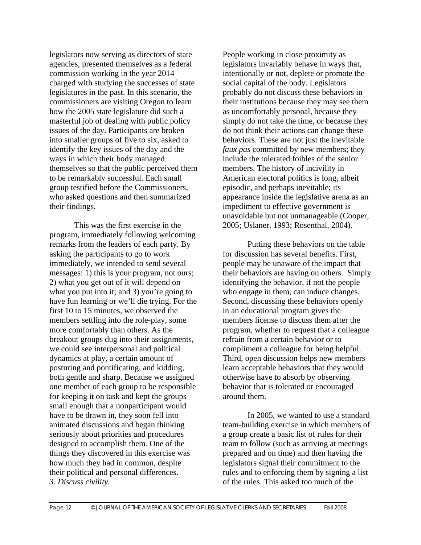legislators now serving as directors of state agencies, presented themselves as a federal commission working in the year 2014 charged with studying the successes of state legislatures in the past. In this scenario, the commissioners are visiting Oregon to learn how the 2005 state legislature did such a masterful job of dealing with public policy issues of the day. Participants are broken into smaller groups of five to six, asked to identify the key issues of the day and the ways in which their body managed themselves so that the public perceived them to be remarkably successful. Each small group testified before the Commissioners, who asked questions and then summarized their findings.

This was the first exercise in the program, immediately following welcoming remarks from the leaders of each party. By asking the participants to go to work immediately, we intended to send several messages: 1) this is your program, not ours; 2) what you get out of it will depend on what you put into it; and 3) you're going to have fun learning or we'll die trying. For the first 10 to 15 minutes, we observed the members settling into the role-play, some more comfortably than others. As the breakout groups dug into their assignments, we could see interpersonal and political dynamics at play, a certain amount of posturing and pontificating, and kidding, both gentle and sharp. Because we assigned one member of each group to be responsible for keeping it on task and kept the groups small enough that a nonparticipant would have to be drawn in, they soon fell into animated discussions and began thinking seriously about priorities and procedures designed to accomplish them. One of the things they discovered in this exercise was how much they had in common, despite their political and personal differences. *3. Discuss civility.* 

People working in close proximity as legislators invariably behave in ways that, intentionally or not, deplete or promote the social capital of the body. Legislators probably do not discuss these behaviors in their institutions because they may see them as uncomfortably personal, because they simply do not take the time, or because they do not think their actions can change these behaviors. These are not just the inevitable *faux pas* committed by new members; they include the tolerated foibles of the senior members. The history of incivility in American electoral politics is long, albeit episodic, and perhaps inevitable; its appearance inside the legislative arena as an impediment to effective government is unavoidable but not unmanageable (Cooper, 2005; Uslaner, 1993; Rosenthal, 2004).

Putting these behaviors on the table for discussion has several benefits. First, people may be unaware of the impact that their behaviors are having on others. Simply identifying the behavior, if not the people who engage in them, can induce changes. Second, discussing these behaviors openly in an educational program gives the members license to discuss them after the program, whether to request that a colleague refrain from a certain behavior or to compliment a colleague for being helpful. Third, open discussion helps new members learn acceptable behaviors that they would otherwise have to absorb by observing behavior that is tolerated or encouraged around them.

In 2005, we wanted to use a standard team-building exercise in which members of a group create a basic list of rules for their team to follow (such as arriving at meetings prepared and on time) and then having the legislators signal their commitment to the rules and to enforcing them by signing a list of the rules. This asked too much of the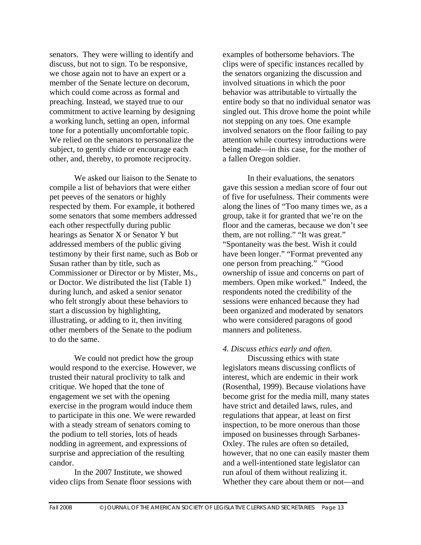senators. They were willing to identify and discuss, but not to sign. To be responsive, we chose again not to have an expert or a member of the Senate lecture on decorum, which could come across as formal and preaching. Instead, we stayed true to our commitment to active learning by designing a working lunch, setting an open, informal tone for a potentially uncomfortable topic. We relied on the senators to personalize the subject, to gently chide or encourage each other, and, thereby, to promote reciprocity.

We asked our liaison to the Senate to compile a list of behaviors that were either pet peeves of the senators or highly respected by them. For example, it bothered some senators that some members addressed each other respectfully during public hearings as Senator X or Senator Y but addressed members of the public giving testimony by their first name, such as Bob or Susan rather than by title, such as Commissioner or Director or by Mister, Ms., or Doctor. We distributed the list (Table 1) during lunch, and asked a senior senator who felt strongly about these behaviors to start a discussion by highlighting, illustrating, or adding to it, then inviting other members of the Senate to the podium to do the same.

We could not predict how the group would respond to the exercise. However, we trusted their natural proclivity to talk and critique. We hoped that the tone of engagement we set with the opening exercise in the program would induce them to participate in this one. We were rewarded with a steady stream of senators coming to the podium to tell stories, lots of heads nodding in agreement, and expressions of surprise and appreciation of the resulting candor.

In the 2007 Institute, we showed video clips from Senate floor sessions with examples of bothersome behaviors. The clips were of specific instances recalled by the senators organizing the discussion and involved situations in which the poor behavior was attributable to virtually the entire body so that no individual senator was singled out. This drove home the point while not stepping on any toes. One example involved senators on the floor failing to pay attention while courtesy introductions were being made—in this case, for the mother of a fallen Oregon soldier.

In their evaluations, the senators gave this session a median score of four out of five for usefulness. Their comments were along the lines of "Too many times we, as a group, take it for granted that we're on the floor and the cameras, because we don't see them, are not rolling." "It was great." "Spontaneity was the best. Wish it could have been longer." "Format prevented any one person from preaching." "Good ownership of issue and concerns on part of members. Open mike worked." Indeed, the respondents noted the credibility of the sessions were enhanced because they had been organized and moderated by senators who were considered paragons of good manners and politeness.

#### *4. Discuss ethics early and often.*

Discussing ethics with state legislators means discussing conflicts of interest, which are endemic in their work (Rosenthal, 1999). Because violations have become grist for the media mill, many states have strict and detailed laws, rules, and regulations that appear, at least on first inspection, to be more onerous than those imposed on businesses through Sarbanes-Oxley. The rules are often so detailed, however, that no one can easily master them and a well-intentioned state legislator can run afoul of them without realizing it. Whether they care about them or not—and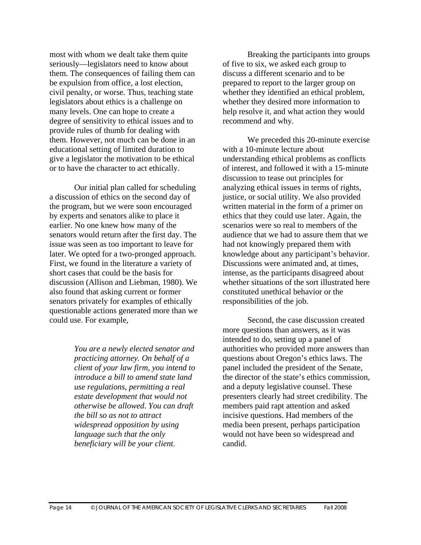most with whom we dealt take them quite seriously—legislators need to know about them. The consequences of failing them can be expulsion from office, a lost election, civil penalty, or worse. Thus, teaching state legislators about ethics is a challenge on many levels. One can hope to create a degree of sensitivity to ethical issues and to provide rules of thumb for dealing with them. However, not much can be done in an educational setting of limited duration to give a legislator the motivation to be ethical or to have the character to act ethically.

Our initial plan called for scheduling a discussion of ethics on the second day of the program, but we were soon encouraged by experts and senators alike to place it earlier. No one knew how many of the senators would return after the first day. The issue was seen as too important to leave for later. We opted for a two-pronged approach. First, we found in the literature a variety of short cases that could be the basis for discussion (Allison and Liebman, 1980). We also found that asking current or former senators privately for examples of ethically questionable actions generated more than we could use. For example,

> *You are a newly elected senator and practicing attorney. On behalf of a client of your law firm, you intend to introduce a bill to amend state land use regulations, permitting a real estate development that would not otherwise be allowed. You can draft the bill so as not to attract widespread opposition by using language such that the only beneficiary will be your client.*

Breaking the participants into groups of five to six, we asked each group to discuss a different scenario and to be prepared to report to the larger group on whether they identified an ethical problem, whether they desired more information to help resolve it, and what action they would recommend and why.

We preceded this 20-minute exercise with a 10-minute lecture about understanding ethical problems as conflicts of interest, and followed it with a 15-minute discussion to tease out principles for analyzing ethical issues in terms of rights, justice, or social utility. We also provided written material in the form of a primer on ethics that they could use later. Again, the scenarios were so real to members of the audience that we had to assure them that we had not knowingly prepared them with knowledge about any participant's behavior. Discussions were animated and, at times, intense, as the participants disagreed about whether situations of the sort illustrated here constituted unethical behavior or the responsibilities of the job.

Second, the case discussion created more questions than answers, as it was intended to do, setting up a panel of authorities who provided more answers than questions about Oregon's ethics laws. The panel included the president of the Senate, the director of the state's ethics commission, and a deputy legislative counsel. These presenters clearly had street credibility. The members paid rapt attention and asked incisive questions. Had members of the media been present, perhaps participation would not have been so widespread and candid.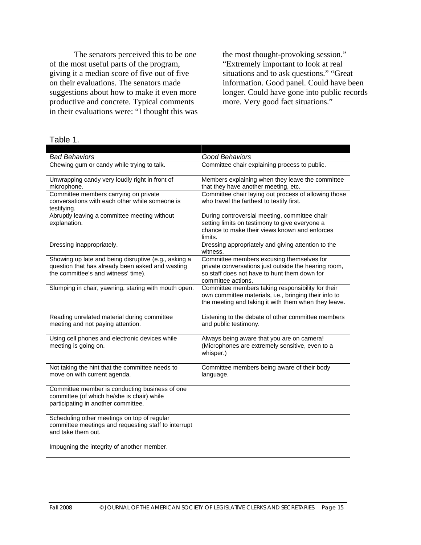The senators perceived this to be one of the most useful parts of the program, giving it a median score of five out of five on their evaluations. The senators made suggestions about how to make it even more productive and concrete. Typical comments in their evaluations were: "I thought this was

the most thought-provoking session." "Extremely important to look at real situations and to ask questions." "Great information. Good panel. Could have been longer. Could have gone into public records more. Very good fact situations."

| <b>Bad Behaviors</b>                                                                                | Good Behaviors                                                                                       |
|-----------------------------------------------------------------------------------------------------|------------------------------------------------------------------------------------------------------|
| Chewing gum or candy while trying to talk.                                                          | Committee chair explaining process to public.                                                        |
|                                                                                                     |                                                                                                      |
| Unwrapping candy very loudly right in front of                                                      | Members explaining when they leave the committee                                                     |
| microphone.                                                                                         | that they have another meeting, etc.                                                                 |
| Committee members carrying on private                                                               | Committee chair laying out process of allowing those                                                 |
| conversations with each other while someone is<br>testifying.                                       | who travel the farthest to testify first.                                                            |
| Abruptly leaving a committee meeting without                                                        | During controversial meeting, committee chair                                                        |
| explanation.                                                                                        | setting limits on testimony to give everyone a                                                       |
|                                                                                                     | chance to make their views known and enforces                                                        |
|                                                                                                     | limits.                                                                                              |
| Dressing inappropriately.                                                                           | Dressing appropriately and giving attention to the                                                   |
|                                                                                                     | witness.                                                                                             |
| Showing up late and being disruptive (e.g., asking a                                                | Committee members excusing themselves for                                                            |
| question that has already been asked and wasting<br>the committee's and witness' time).             | private conversations just outside the hearing room,<br>so staff does not have to hunt them down for |
|                                                                                                     | committee actions.                                                                                   |
| Slumping in chair, yawning, staring with mouth open.                                                | Committee members taking responsibility for their                                                    |
|                                                                                                     | own committee materials, i.e., bringing their info to                                                |
|                                                                                                     | the meeting and taking it with them when they leave.                                                 |
|                                                                                                     |                                                                                                      |
| Reading unrelated material during committee<br>meeting and not paying attention.                    | Listening to the debate of other committee members<br>and public testimony.                          |
|                                                                                                     |                                                                                                      |
| Using cell phones and electronic devices while                                                      | Always being aware that you are on camera!                                                           |
| meeting is going on.                                                                                | (Microphones are extremely sensitive, even to a                                                      |
|                                                                                                     | whisper.)                                                                                            |
|                                                                                                     |                                                                                                      |
| Not taking the hint that the committee needs to<br>move on with current agenda.                     | Committee members being aware of their body<br>language.                                             |
|                                                                                                     |                                                                                                      |
| Committee member is conducting business of one                                                      |                                                                                                      |
| committee (of which he/she is chair) while                                                          |                                                                                                      |
| participating in another committee.                                                                 |                                                                                                      |
|                                                                                                     |                                                                                                      |
| Scheduling other meetings on top of regular<br>committee meetings and requesting staff to interrupt |                                                                                                      |
| and take them out.                                                                                  |                                                                                                      |
|                                                                                                     |                                                                                                      |
| Impugning the integrity of another member.                                                          |                                                                                                      |

Table 1.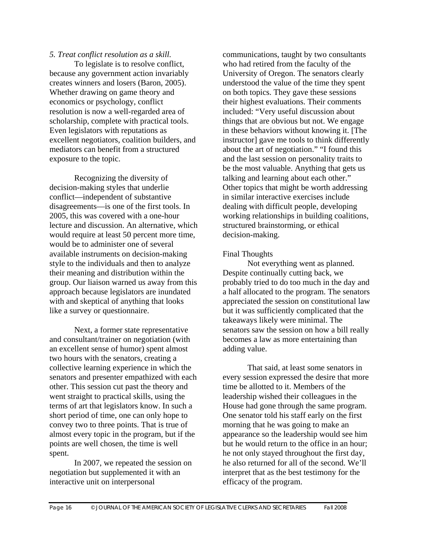### *5. Treat conflict resolution as a skill.*

To legislate is to resolve conflict, because any government action invariably creates winners and losers (Baron, 2005). Whether drawing on game theory and economics or psychology, conflict resolution is now a well-regarded area of scholarship, complete with practical tools. Even legislators with reputations as excellent negotiators, coalition builders, and mediators can benefit from a structured exposure to the topic.

Recognizing the diversity of decision-making styles that underlie conflict—independent of substantive disagreements—is one of the first tools. In 2005, this was covered with a one-hour lecture and discussion. An alternative, which would require at least 50 percent more time, would be to administer one of several available instruments on decision-making style to the individuals and then to analyze their meaning and distribution within the group. Our liaison warned us away from this approach because legislators are inundated with and skeptical of anything that looks like a survey or questionnaire.

Next, a former state representative and consultant/trainer on negotiation (with an excellent sense of humor) spent almost two hours with the senators, creating a collective learning experience in which the senators and presenter empathized with each other. This session cut past the theory and went straight to practical skills, using the terms of art that legislators know. In such a short period of time, one can only hope to convey two to three points. That is true of almost every topic in the program, but if the points are well chosen, the time is well spent.

In 2007, we repeated the session on negotiation but supplemented it with an interactive unit on interpersonal

communications, taught by two consultants who had retired from the faculty of the University of Oregon. The senators clearly understood the value of the time they spent on both topics. They gave these sessions their highest evaluations. Their comments included: "Very useful discussion about things that are obvious but not. We engage in these behaviors without knowing it. [The instructor] gave me tools to think differently about the art of negotiation." "I found this and the last session on personality traits to be the most valuable. Anything that gets us talking and learning about each other." Other topics that might be worth addressing in similar interactive exercises include dealing with difficult people, developing working relationships in building coalitions, structured brainstorming, or ethical decision-making.

#### Final Thoughts

Not everything went as planned. Despite continually cutting back, we probably tried to do too much in the day and a half allocated to the program. The senators appreciated the session on constitutional law but it was sufficiently complicated that the takeaways likely were minimal. The senators saw the session on how a bill really becomes a law as more entertaining than adding value.

That said, at least some senators in every session expressed the desire that more time be allotted to it. Members of the leadership wished their colleagues in the House had gone through the same program. One senator told his staff early on the first morning that he was going to make an appearance so the leadership would see him but he would return to the office in an hour; he not only stayed throughout the first day, he also returned for all of the second. We'll interpret that as the best testimony for the efficacy of the program.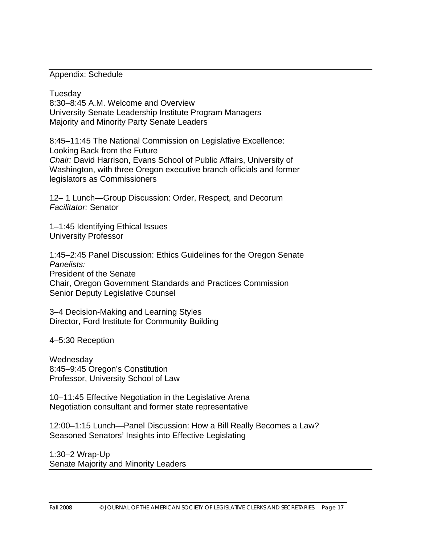Appendix: Schedule

Tuesday 8:30–8:45 A.M. Welcome and Overview University Senate Leadership Institute Program Managers Majority and Minority Party Senate Leaders

8:45–11:45 The National Commission on Legislative Excellence: Looking Back from the Future *Chair:* David Harrison, Evans School of Public Affairs, University of Washington, with three Oregon executive branch officials and former legislators as Commissioners

12– 1 Lunch—Group Discussion: Order, Respect, and Decorum *Facilitator:* Senator

1–1:45 Identifying Ethical Issues University Professor

1:45–2:45 Panel Discussion: Ethics Guidelines for the Oregon Senate *Panelists:*  President of the Senate Chair, Oregon Government Standards and Practices Commission Senior Deputy Legislative Counsel

3–4 Decision-Making and Learning Styles Director, Ford Institute for Community Building

4–5:30 Reception

**Wednesday** 8:45–9:45 Oregon's Constitution Professor, University School of Law

10–11:45 Effective Negotiation in the Legislative Arena Negotiation consultant and former state representative

12:00–1:15 Lunch—Panel Discussion: How a Bill Really Becomes a Law? Seasoned Senators' Insights into Effective Legislating

1:30–2 Wrap-Up Senate Majority and Minority Leaders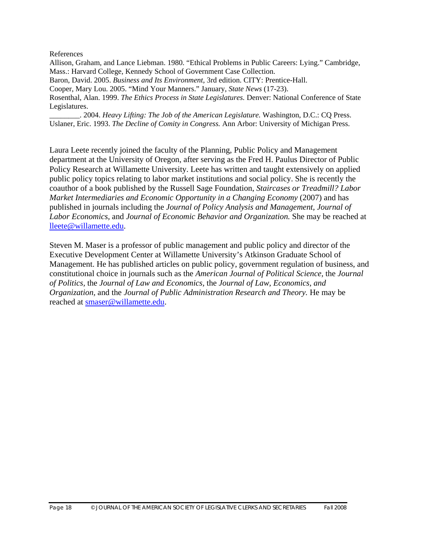#### References

Allison, Graham, and Lance Liebman. 1980. "Ethical Problems in Public Careers: Lying." Cambridge, Mass.: Harvard College, Kennedy School of Government Case Collection. Baron, David. 2005. *Business and Its Environment,* 3rd edition. CITY: Prentice-Hall. Cooper, Mary Lou. 2005. "Mind Your Manners." January, *State News* (17-23). Rosenthal, Alan. 1999. *The Ethics Process in State Legislatures.* Denver: National Conference of State Legislatures.

\_\_\_\_\_\_\_\_. 2004. *Heavy Lifting: The Job of the American Legislature.* Washington, D.C.: CQ Press. Uslaner, Eric. 1993. *The Decline of Comity in Congress.* Ann Arbor: University of Michigan Press.

Laura Leete recently joined the faculty of the Planning, Public Policy and Management department at the University of Oregon, after serving as the Fred H. Paulus Director of Public Policy Research at Willamette University. Leete has written and taught extensively on applied public policy topics relating to labor market institutions and social policy. She is recently the coauthor of a book published by the Russell Sage Foundation, *Staircases or Treadmill? Labor Market Intermediaries and Economic Opportunity in a Changing Economy (2007)* and has published in journals including the *Journal of Policy Analysis and Management, Journal of Labor Economics,* and *Journal of Economic Behavior and Organization.* She may be reached at [lleete@willamette.edu](mailto:lleete@willamette.edu).

Steven M. Maser is a professor of public management and public policy and director of the Executive Development Center at Willamette University's Atkinson Graduate School of Management. He has published articles on public policy, government regulation of business, and constitutional choice in journals such as the *American Journal of Political Science,* the *Journal of Politics,* the *Journal of Law and Economics,* the *Journal of Law, Economics, and Organization,* and the *Journal of Public Administration Research and Theory.* He may be reached at [smaser@willamette.edu](mailto:smaser@willamette.edu).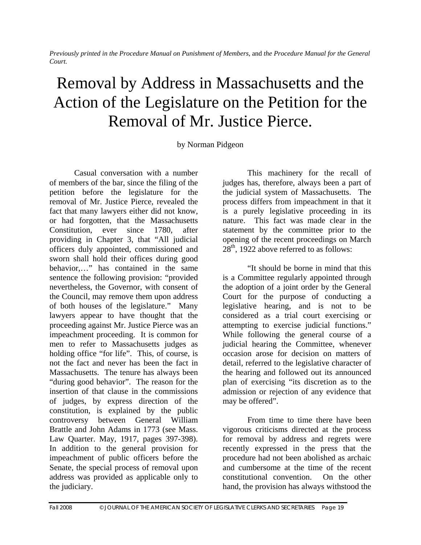*Previously printed in the Procedure Manual on Punishment of Members*, and *the Procedure Manual for the General Court.* 

# Removal by Address in Massachusetts and the Action of the Legislature on the Petition for the Removal of Mr. Justice Pierce.

by Norman Pidgeon

Casual conversation with a number of members of the bar, since the filing of the petition before the legislature for the removal of Mr. Justice Pierce, revealed the fact that many lawyers either did not know, or had forgotten, that the Massachusetts Constitution, ever since 1780, after providing in Chapter 3, that "All judicial officers duly appointed, commissioned and sworn shall hold their offices during good behavior,…" has contained in the same sentence the following provision: "provided nevertheless, the Governor, with consent of the Council, may remove them upon address of both houses of the legislature." Many lawyers appear to have thought that the proceeding against Mr. Justice Pierce was an impeachment proceeding. It is common for men to refer to Massachusetts judges as holding office "for life". This, of course, is not the fact and never has been the fact in Massachusetts. The tenure has always been "during good behavior". The reason for the insertion of that clause in the commissions of judges, by express direction of the constitution, is explained by the public controversy between General William Brattle and John Adams in 1773 (see Mass. Law Quarter. May, 1917, pages 397-398). In addition to the general provision for impeachment of public officers before the Senate, the special process of removal upon address was provided as applicable only to the judiciary.

This machinery for the recall of judges has, therefore, always been a part of the judicial system of Massachusetts. The process differs from impeachment in that it is a purely legislative proceeding in its nature. This fact was made clear in the statement by the committee prior to the opening of the recent proceedings on March  $28<sup>th</sup>$ , 1922 above referred to as follows:

"It should be borne in mind that this is a Committee regularly appointed through the adoption of a joint order by the General Court for the purpose of conducting a legislative hearing, and is not to be considered as a trial court exercising or attempting to exercise judicial functions." While following the general course of a judicial hearing the Committee, whenever occasion arose for decision on matters of detail, referred to the legislative character of the hearing and followed out its announced plan of exercising "its discretion as to the admission or rejection of any evidence that may be offered".

From time to time there have been vigorous criticisms directed at the process for removal by address and regrets were recently expressed in the press that the procedure had not been abolished as archaic and cumbersome at the time of the recent constitutional convention. On the other hand, the provision has always withstood the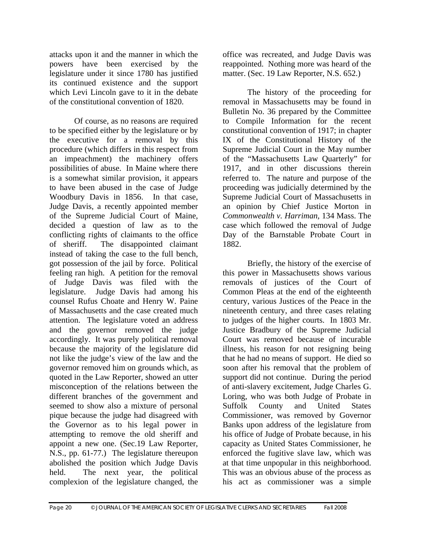attacks upon it and the manner in which the powers have been exercised by the legislature under it since 1780 has justified its continued existence and the support which Levi Lincoln gave to it in the debate of the constitutional convention of 1820.

Of course, as no reasons are required to be specified either by the legislature or by the executive for a removal by this procedure (which differs in this respect from an impeachment) the machinery offers possibilities of abuse. In Maine where there is a somewhat similar provision, it appears to have been abused in the case of Judge Woodbury Davis in 1856. In that case, Judge Davis, a recently appointed member of the Supreme Judicial Court of Maine, decided a question of law as to the conflicting rights of claimants to the office of sheriff. The disappointed claimant instead of taking the case to the full bench, got possession of the jail by force. Political feeling ran high. A petition for the removal of Judge Davis was filed with the legislature. Judge Davis had among his counsel Rufus Choate and Henry W. Paine of Massachusetts and the case created much attention. The legislature voted an address and the governor removed the judge accordingly. It was purely political removal because the majority of the legislature did not like the judge's view of the law and the governor removed him on grounds which, as quoted in the Law Reporter, showed an utter misconception of the relations between the different branches of the government and seemed to show also a mixture of personal pique because the judge had disagreed with the Governor as to his legal power in attempting to remove the old sheriff and appoint a new one. (Sec.19 Law Reporter, N.S., pp. 61-77.) The legislature thereupon abolished the position which Judge Davis held. The next year, the political complexion of the legislature changed, the

office was recreated, and Judge Davis was reappointed. Nothing more was heard of the matter. (Sec. 19 Law Reporter, N.S. 652.)

The history of the proceeding for removal in Massachusetts may be found in Bulletin No. 36 prepared by the Committee to Compile Information for the recent constitutional convention of 1917; in chapter IX of the Constitutional History of the Supreme Judicial Court in the May number of the "Massachusetts Law Quarterly" for 1917, and in other discussions therein referred to. The nature and purpose of the proceeding was judicially determined by the Supreme Judicial Court of Massachusetts in an opinion by Chief Justice Morton in *Commonwealth v. Harriman,* 134 Mass. The case which followed the removal of Judge Day of the Barnstable Probate Court in 1882.

Briefly, the history of the exercise of this power in Massachusetts shows various removals of justices of the Court of Common Pleas at the end of the eighteenth century, various Justices of the Peace in the nineteenth century, and three cases relating to judges of the higher courts. In 1803 Mr. Justice Bradbury of the Supreme Judicial Court was removed because of incurable illness, his reason for not resigning being that he had no means of support. He died so soon after his removal that the problem of support did not continue. During the period of anti-slavery excitement, Judge Charles G. Loring, who was both Judge of Probate in Suffolk County and United States Commissioner, was removed by Governor Banks upon address of the legislature from his office of Judge of Probate because, in his capacity as United States Commissioner, he enforced the fugitive slave law, which was at that time unpopular in this neighborhood. This was an obvious abuse of the process as his act as commissioner was a simple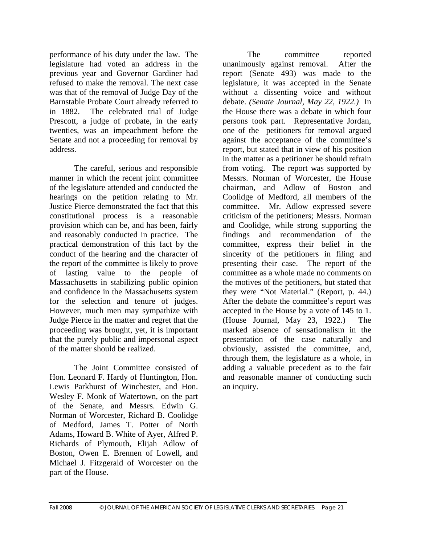performance of his duty under the law. The legislature had voted an address in the previous year and Governor Gardiner had refused to make the removal. The next case was that of the removal of Judge Day of the Barnstable Probate Court already referred to in 1882. The celebrated trial of Judge Prescott, a judge of probate, in the early twenties, was an impeachment before the Senate and not a proceeding for removal by address.

The careful, serious and responsible manner in which the recent joint committee of the legislature attended and conducted the hearings on the petition relating to Mr. Justice Pierce demonstrated the fact that this constitutional process is a reasonable provision which can be, and has been, fairly and reasonably conducted in practice. The practical demonstration of this fact by the conduct of the hearing and the character of the report of the committee is likely to prove of lasting value to the people of Massachusetts in stabilizing public opinion and confidence in the Massachusetts system for the selection and tenure of judges. However, much men may sympathize with Judge Pierce in the matter and regret that the proceeding was brought, yet, it is important that the purely public and impersonal aspect of the matter should be realized.

The Joint Committee consisted of Hon. Leonard F. Hardy of Huntington, Hon. Lewis Parkhurst of Winchester, and Hon. Wesley F. Monk of Watertown, on the part of the Senate, and Messrs. Edwin G. Norman of Worcester, Richard B. Coolidge of Medford, James T. Potter of North Adams, Howard B. White of Ayer, Alfred P. Richards of Plymouth, Elijah Adlow of Boston, Owen E. Brennen of Lowell, and Michael J. Fitzgerald of Worcester on the part of the House.

The committee reported unanimously against removal. After the report (Senate 493) was made to the legislature, it was accepted in the Senate without a dissenting voice and without debate. *(Senate Journal, May 22, 1922.)* In the House there was a debate in which four persons took part. Representative Jordan, one of the petitioners for removal argued against the acceptance of the committee's report, but stated that in view of his position in the matter as a petitioner he should refrain from voting. The report was supported by Messrs. Norman of Worcester, the House chairman, and Adlow of Boston and Coolidge of Medford, all members of the committee. Mr. Adlow expressed severe criticism of the petitioners; Messrs. Norman and Coolidge, while strong supporting the findings and recommendation of the committee, express their belief in the sincerity of the petitioners in filing and presenting their case. The report of the committee as a whole made no comments on the motives of the petitioners, but stated that they were "Not Material." (Report, p. 44.) After the debate the committee's report was accepted in the House by a vote of 145 to 1. (House Journal, May 23, 1922.) The marked absence of sensationalism in the presentation of the case naturally and obviously, assisted the committee, and, through them, the legislature as a whole, in adding a valuable precedent as to the fair and reasonable manner of conducting such an inquiry.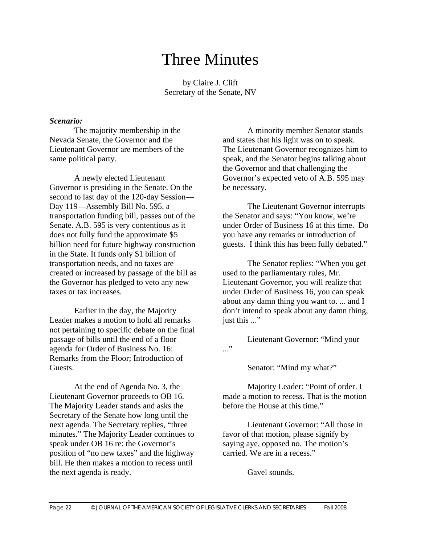# Three Minutes

by Claire J. Clift Secretary of the Senate, NV

#### *Scenario:*

The majority membership in the Nevada Senate, the Governor and the Lieutenant Governor are members of the same political party.

A newly elected Lieutenant Governor is presiding in the Senate. On the second to last day of the 120-day Session— Day 119—Assembly Bill No. 595, a transportation funding bill, passes out of the Senate. A.B. 595 is very contentious as it does not fully fund the approximate \$5 billion need for future highway construction in the State. It funds only \$1 billion of transportation needs, and no taxes are created or increased by passage of the bill as the Governor has pledged to veto any new taxes or tax increases.

Earlier in the day, the Majority Leader makes a motion to hold all remarks not pertaining to specific debate on the final passage of bills until the end of a floor agenda for Order of Business No. 16: Remarks from the Floor; Introduction of Guests.

At the end of Agenda No. 3, the Lieutenant Governor proceeds to OB 16. The Majority Leader stands and asks the Secretary of the Senate how long until the next agenda. The Secretary replies, "three minutes." The Majority Leader continues to speak under OB 16 re: the Governor's position of "no new taxes" and the highway bill. He then makes a motion to recess until the next agenda is ready.

A minority member Senator stands and states that his light was on to speak. The Lieutenant Governor recognizes him to speak, and the Senator begins talking about the Governor and that challenging the Governor's expected veto of A.B. 595 may be necessary.

The Lieutenant Governor interrupts the Senator and says: "You know, we're under Order of Business 16 at this time. Do you have any remarks or introduction of guests. I think this has been fully debated."

The Senator replies: "When you get used to the parliamentary rules, Mr. Lieutenant Governor, you will realize that under Order of Business 16, you can speak about any damn thing you want to. ... and I don't intend to speak about any damn thing, just this ..."

Lieutenant Governor: "Mind your ..."

Senator: "Mind my what?"

Majority Leader: "Point of order. I made a motion to recess. That is the motion before the House at this time."

Lieutenant Governor: "All those in favor of that motion, please signify by saying aye, opposed no. The motion's carried. We are in a recess."

Gavel sounds.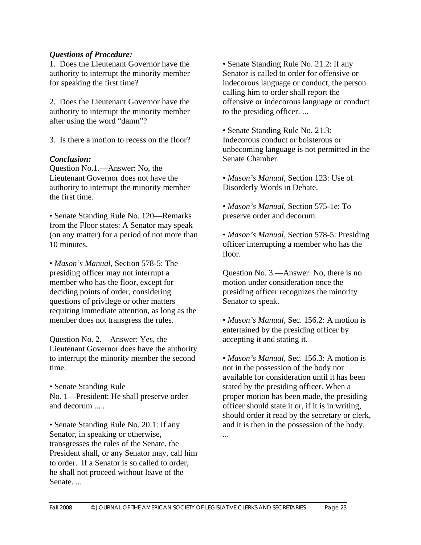#### *Questions of Procedure:*

1. Does the Lieutenant Governor have the authority to interrupt the minority member for speaking the first time?

2. Does the Lieutenant Governor have the authority to interrupt the minority member after using the word "damn"?

3. Is there a motion to recess on the floor?

#### *Conclusion:*

Question No.1.—Answer: No, the Lieutenant Governor does not have the authority to interrupt the minority member the first time.

• Senate Standing Rule No. 120—Remarks from the Floor states: A Senator may speak (on any matter) for a period of not more than 10 minutes.

• *Mason's Manual*, Section 578-5: The presiding officer may not interrupt a member who has the floor, except for deciding points of order, considering questions of privilege or other matters requiring immediate attention, as long as the member does not transgress the rules.

Question No. 2.—Answer: Yes, the Lieutenant Governor does have the authority to interrupt the minority member the second time.

• Senate Standing Rule No. 1—President: He shall preserve order and decorum ... .

• Senate Standing Rule No. 20.1: If any Senator, in speaking or otherwise, transgresses the rules of the Senate, the President shall, or any Senator may, call him to order. If a Senator is so called to order, he shall not proceed without leave of the Senate...

• Senate Standing Rule No. 21.2: If any Senator is called to order for offensive or indecorous language or conduct, the person calling him to order shall report the offensive or indecorous language or conduct to the presiding officer. ...

• Senate Standing Rule No. 21.3: Indecorous conduct or boisterous or unbecoming language is not permitted in the Senate Chamber.

• *Mason's Manual*, Section 123: Use of Disorderly Words in Debate.

• *Mason's Manual*, Section 575-1e: To preserve order and decorum.

• *Mason's Manual*, Section 578-5: Presiding officer interrupting a member who has the floor.

Question No. 3.—Answer: No, there is no motion under consideration once the presiding officer recognizes the minority Senator to speak.

• *Mason's Manual,* Sec. 156.2: A motion is entertained by the presiding officer by accepting it and stating it.

• *Mason's Manual*, Sec. 156.3: A motion is not in the possession of the body nor available for consideration until it has been stated by the presiding officer. When a proper motion has been made, the presiding officer should state it or, if it is in writing, should order it read by the secretary or clerk, and it is then in the possession of the body.

...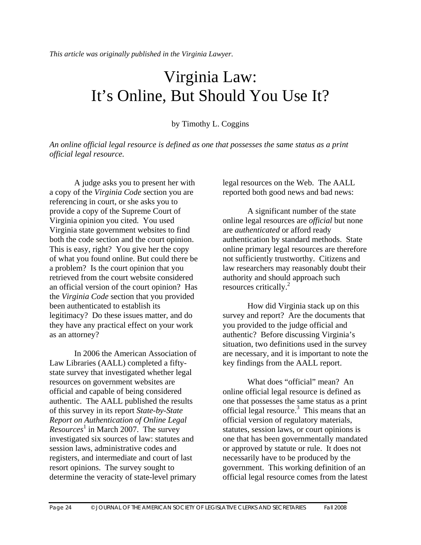# Virginia Law: It's Online, But Should You Use It?

#### by Timothy L. Coggins

*An online official legal resource is defined as one that possesses the same status as a print official legal resource.* 

A judge asks you to present her with a copy of the *Virginia Code* section you are referencing in court, or she asks you to provide a copy of the Supreme Court of Virginia opinion you cited. You used Virginia state government websites to find both the code section and the court opinion. This is easy, right? You give her the copy of what you found online. But could there be a problem? Is the court opinion that you retrieved from the court website considered an official version of the court opinion? Has the *Virginia Code* section that you provided been authenticated to establish its legitimacy? Do these issues matter, and do they have any practical effect on your work as an attorney?

In 2006 the American Association of Law Libraries (AALL) completed a fiftystate survey that investigated whether legal resources on government websites are official and capable of being considered authentic. The AALL published the results of this survey in its report *State-by-State Report on Authentication of Online Legal Resources*<sup>1</sup> in March 2007. The survey investigated six sources of law: statutes and session laws, administrative codes and registers, and intermediate and court of last resort opinions. The survey sought to determine the veracity of state-level primary legal resources on the Web. The AALL reported both good news and bad news:

A significant number of the state online legal resources are *official* but none are *authenticated* or afford ready authentication by standard methods. State online primary legal resources are therefore not sufficiently trustworthy. Citizens and law researchers may reasonably doubt their authority and should approach such resources critically.<sup>2</sup>

How did Virginia stack up on this survey and report? Are the documents that you provided to the judge official and authentic? Before discussing Virginia's situation, two definitions used in the survey are necessary, and it is important to note the key findings from the AALL report.

What does "official" mean? An online official legal resource is defined as one that possesses the same status as a print official legal resource.<sup>3</sup> This means that an official version of regulatory materials, statutes, session laws, or court opinions is one that has been governmentally mandated or approved by statute or rule. It does not necessarily have to be produced by the government. This working definition of an official legal resource comes from the latest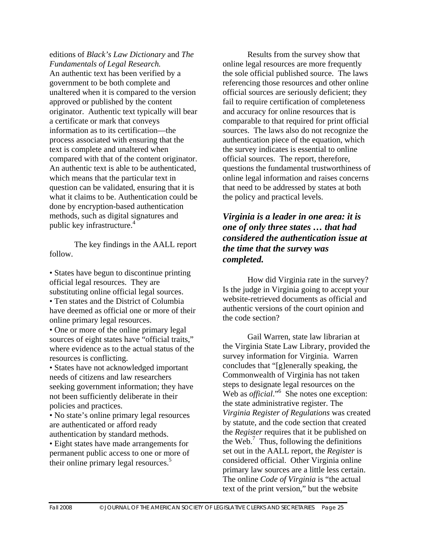editions of *Black's Law Dictionary* and *The Fundamentals of Legal Research.*  An authentic text has been verified by a government to be both complete and unaltered when it is compared to the version approved or published by the content originator. Authentic text typically will bear a certificate or mark that conveys information as to its certification—the process associated with ensuring that the text is complete and unaltered when compared with that of the content originator. An authentic text is able to be authenticated, which means that the particular text in question can be validated, ensuring that it is what it claims to be. Authentication could be done by encryption-based authentication methods, such as digital signatures and public key infrastructure.4

The key findings in the AALL report follow.

• States have begun to discontinue printing official legal resources. They are substituting online official legal sources.

• Ten states and the District of Columbia have deemed as official one or more of their online primary legal resources.

• One or more of the online primary legal sources of eight states have "official traits," where evidence as to the actual status of the resources is conflicting.

• States have not acknowledged important needs of citizens and law researchers seeking government information; they have not been sufficiently deliberate in their policies and practices.

• No state's online primary legal resources are authenticated or afford ready authentication by standard methods.

• Eight states have made arrangements for permanent public access to one or more of their online primary legal resources.<sup>5</sup>

Results from the survey show that online legal resources are more frequently the sole official published source. The laws referencing those resources and other online official sources are seriously deficient; they fail to require certification of completeness and accuracy for online resources that is comparable to that required for print official sources. The laws also do not recognize the authentication piece of the equation, which the survey indicates is essential to online official sources. The report, therefore, questions the fundamental trustworthiness of online legal information and raises concerns that need to be addressed by states at both the policy and practical levels.

# *Virginia is a leader in one area: it is one of only three states … that had considered the authentication issue at the time that the survey was completed.*

How did Virginia rate in the survey? Is the judge in Virginia going to accept your website-retrieved documents as official and authentic versions of the court opinion and the code section?

Gail Warren, state law librarian at the Virginia State Law Library, provided the survey information for Virginia. Warren concludes that "[g]enerally speaking, the Commonwealth of Virginia has not taken steps to designate legal resources on the Web as *official*."<sup>6</sup> She notes one exception: the state administrative register. The *Virginia Register of Regulations* was created by statute, and the code section that created the *Register* requires that it be published on the Web. $<sup>7</sup>$  Thus, following the definitions</sup> set out in the AALL report, the *Register* is considered official. Other Virginia online primary law sources are a little less certain. The online *Code of Virginia* is "the actual text of the print version," but the website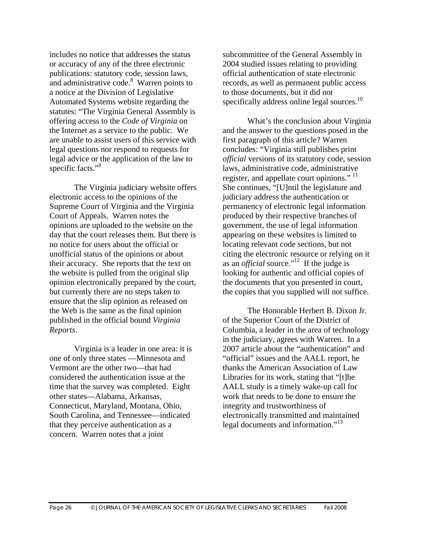includes no notice that addresses the status or accuracy of any of the three electronic publications: statutory code, session laws, and administrative code.<sup>8</sup> Warren points to a notice at the Division of Legislative Automated Systems website regarding the statutes: "The Virginia General Assembly is offering access to the *Code of Virginia* on the Internet as a service to the public. We are unable to assist users of this service with legal questions nor respond to requests for legal advice or the application of the law to specific facts."<sup>9</sup>

The Virginia judiciary website offers electronic access to the opinions of the Supreme Court of Virginia and the Virginia Court of Appeals. Warren notes the opinions are uploaded to the website on the day that the court releases them. But there is no notice for users about the official or unofficial status of the opinions or about their accuracy. She reports that the text on the website is pulled from the original slip opinion electronically prepared by the court, but currently there are no steps taken to ensure that the slip opinion as released on the Web is the same as the final opinion published in the official bound *Virginia Reports*.

Virginia is a leader in one area: it is one of only three states —Minnesota and Vermont are the other two—that had considered the authentication issue at the time that the survey was completed. Eight other states—Alabama, Arkansas, Connecticut, Maryland, Montana, Ohio, South Carolina, and Tennessee—indicated that they perceive authentication as a concern. Warren notes that a joint

subcommittee of the General Assembly in 2004 studied issues relating to providing official authentication of state electronic records, as well as permanent public access to those documents, but it did not specifically address online legal sources.<sup>10</sup>

What's the conclusion about Virginia and the answer to the questions posed in the first paragraph of this article? Warren concludes: "Virginia still publishes print *official* versions of its statutory code, session laws, administrative code, administrative register, and appellate court opinions."<sup>11</sup> She continues, "[U]ntil the legislature and judiciary address the authentication or permanency of electronic legal information produced by their respective branches of government, the use of legal information appearing on these websites is limited to locating relevant code sections, but not citing the electronic resource or relying on it as an *official* source."<sup>12</sup> If the judge is looking for authentic and official copies of the documents that you presented in court, the copies that you supplied will not suffice.

The Honorable Herbert B. Dixon Jr. of the Superior Court of the District of Columbia, a leader in the area of technology in the judiciary, agrees with Warren. In a 2007 article about the "authentication" and "official" issues and the AALL report, he thanks the American Association of Law Libraries for its work, stating that "[t]he AALL study is a timely wake-up call for work that needs to be done to ensure the integrity and trustworthiness of electronically transmitted and maintained legal documents and information."<sup>13</sup>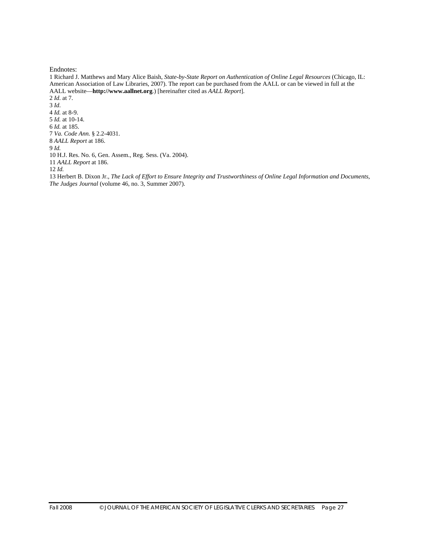Endnotes:

1 Richard J. Matthews and Mary Alice Baish, *State-by-State Report on Authentication of Online Legal Resources* (Chicago, IL: American Association of Law Libraries, 2007). The report can be purchased from the AALL or can be viewed in full at the AALL website—**http://www.aallnet.org**.) [hereinafter cited as *AALL Report*]. 2 *Id*. at 7. 3 *Id*. 4 *Id.* at 8-9. 5 *Id.* at 10-14. 6 *Id.* at 185. 7 *Va. Code Ann.* § 2.2-4031. 8 *AALL Report* at 186. 9 *Id.*  10 H.J. Res. No. 6, Gen. Assem., Reg. Sess. (Va. 2004). 11 *AALL Report* at 186. 12 *Id.*  13 Herbert B. Dixon Jr., *The Lack of Effort to Ensure Integrity and Trustworthiness of Online Legal Information and Documents*, *The Judges Journal* (volume 46, no. 3, Summer 2007).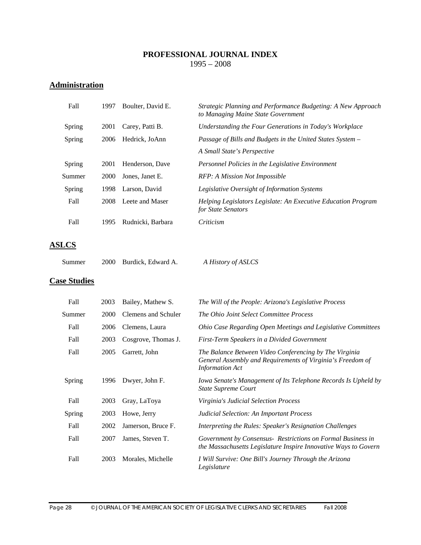#### **PROFESSIONAL JOURNAL INDEX**  1995 – 2008

# **Administration**

| Fall   | 1997 | Boulter, David E. | Strategic Planning and Performance Budgeting: A New Approach<br>to Managing Maine State Government |
|--------|------|-------------------|----------------------------------------------------------------------------------------------------|
| Spring | 2001 | Carey, Patti B.   | Understanding the Four Generations in Today's Workplace                                            |
| Spring | 2006 | Hedrick, JoAnn    | Passage of Bills and Budgets in the United States System –                                         |
|        |      |                   | A Small State's Perspective                                                                        |
| Spring | 2001 | Henderson, Dave   | Personnel Policies in the Legislative Environment                                                  |
| Summer | 2000 | Jones, Janet E.   | RFP: A Mission Not Impossible                                                                      |
| Spring | 1998 | Larson, David     | Legislative Oversight of Information Systems                                                       |
| Fall   | 2008 | Leete and Maser   | Helping Legislators Legislate: An Executive Education Program<br>for State Senators                |
| Fall   | 1995 | Rudnicki, Barbara | Criticism                                                                                          |

# **ASLCS**

| A History of ASLCS |
|--------------------|
|                    |

# **Case Studies**

| Fall          | 2003 | Bailey, Mathew S.   | The Will of the People: Arizona's Legislative Process                                                                                          |
|---------------|------|---------------------|------------------------------------------------------------------------------------------------------------------------------------------------|
| Summer        | 2000 | Clemens and Schuler | The Ohio Joint Select Committee Process                                                                                                        |
| Fall          | 2006 | Clemens, Laura      | Ohio Case Regarding Open Meetings and Legislative Committees                                                                                   |
| Fall          | 2003 | Cosgrove, Thomas J. | First-Term Speakers in a Divided Government                                                                                                    |
| Fall          | 2005 | Garrett, John       | The Balance Between Video Conferencing by The Virginia<br>General Assembly and Requirements of Virginia's Freedom of<br><b>Information Act</b> |
| <b>Spring</b> | 1996 | Dwyer, John F.      | Iowa Senate's Management of Its Telephone Records Is Upheld by<br><b>State Supreme Court</b>                                                   |
| Fall          | 2003 | Gray, LaToya        | Virginia's Judicial Selection Process                                                                                                          |
| <b>Spring</b> | 2003 | Howe, Jerry         | Judicial Selection: An Important Process                                                                                                       |
| Fall          | 2002 | Jamerson, Bruce F.  | Interpreting the Rules: Speaker's Resignation Challenges                                                                                       |
| Fall          | 2007 | James, Steven T.    | Government by Consensus - Restrictions on Formal Business in<br>the Massachusetts Legislature Inspire Innovative Ways to Govern                |
| Fall          | 2003 | Morales, Michelle   | I Will Survive: One Bill's Journey Through the Arizona<br>Legislature                                                                          |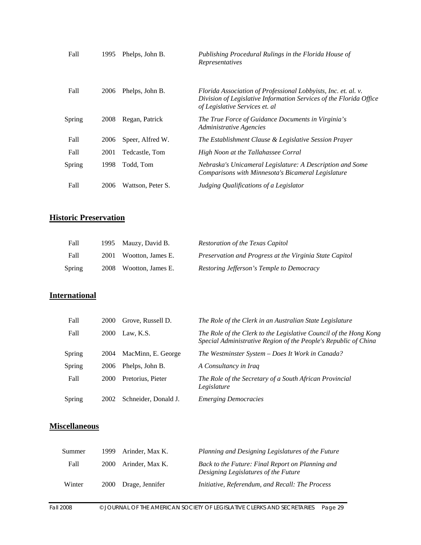| Fall   | 1995 | Phelps, John B.   | Publishing Procedural Rulings in the Florida House of<br>Representatives                                                                                               |
|--------|------|-------------------|------------------------------------------------------------------------------------------------------------------------------------------------------------------------|
| Fall   | 2006 | Phelps, John B.   | Florida Association of Professional Lobbyists, Inc. et. al. v.<br>Division of Legislative Information Services of the Florida Office<br>of Legislative Services et. al |
| Spring | 2008 | Regan, Patrick    | The True Force of Guidance Documents in Virginia's<br>Administrative Agencies                                                                                          |
| Fall   | 2006 | Speer, Alfred W.  | The Establishment Clause & Legislative Session Prayer                                                                                                                  |
| Fall   | 2001 | Tedcastle, Tom    | High Noon at the Tallahassee Corral                                                                                                                                    |
| Spring | 1998 | Todd, Tom         | Nebraska's Unicameral Legislature: A Description and Some<br>Comparisons with Minnesota's Bicameral Legislature                                                        |
| Fall   | 2006 | Wattson, Peter S. | Judging Qualifications of a Legislator                                                                                                                                 |

# **Historic Preservation**

| Fall   | 1995 Mauzy, David B.   | Restoration of the Texas Capitol                        |
|--------|------------------------|---------------------------------------------------------|
| Fall   | 2001 Wootton, James E. | Preservation and Progress at the Virginia State Capitol |
| Spring | 2008 Wootton, James E. | Restoring Jefferson's Temple to Democracy               |

# **International**

| Fall   | 2000        | Grove, Russell D.    | The Role of the Clerk in an Australian State Legislature                                                                             |
|--------|-------------|----------------------|--------------------------------------------------------------------------------------------------------------------------------------|
| Fall   | <b>2000</b> | Law. K.S.            | The Role of the Clerk to the Legislative Council of the Hong Kong<br>Special Administrative Region of the People's Republic of China |
| Spring | 2004        | MacMinn, E. George   | The Westminster System – Does It Work in Canada?                                                                                     |
| Spring | 2006        | Phelps, John B.      | A Consultancy in Iraq                                                                                                                |
| Fall   | 2000        | Pretorius, Pieter    | The Role of the Secretary of a South African Provincial<br>Legislature                                                               |
| Spring | 2002        | Schneider, Donald J. | <i><b>Emerging Democracies</b></i>                                                                                                   |

# **Miscellaneous**

| Summer | 1999.       | Arinder, Max K. | Planning and Designing Legislatures of the Future                                        |
|--------|-------------|-----------------|------------------------------------------------------------------------------------------|
| Fall   | 2000        | Arinder. Max K. | Back to the Future: Final Report on Planning and<br>Designing Legislatures of the Future |
| Winter | <b>2000</b> | Drage, Jennifer | Initiative, Referendum, and Recall: The Process                                          |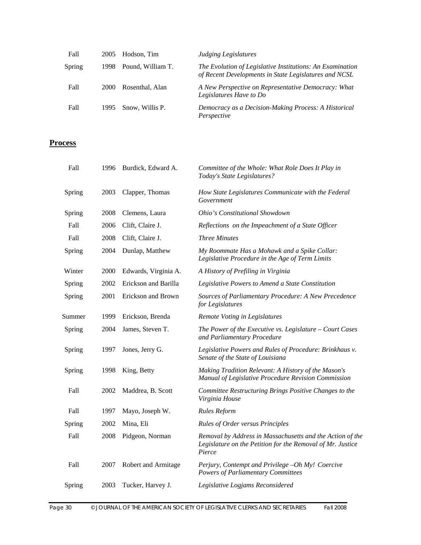| Fall   | 2005  | Hodson, Tim       | Judging Legislatures                                                                                               |
|--------|-------|-------------------|--------------------------------------------------------------------------------------------------------------------|
| Spring | 1998. | Pound, William T. | The Evolution of Legislative Institutions: An Examination<br>of Recent Developments in State Legislatures and NCSL |
| Fall   | 2000  | Rosenthal, Alan   | A New Perspective on Representative Democracy: What<br>Legislatures Have to Do                                     |
| Fall   | 1995  | Snow, Willis P.   | Democracy as a Decision-Making Process: A Historical<br>Perspective                                                |

#### **Process**

| Fall   | 1996 | Burdick, Edward A.   | Committee of the Whole: What Role Does It Play in<br>Today's State Legislatures?                                                  |
|--------|------|----------------------|-----------------------------------------------------------------------------------------------------------------------------------|
| Spring | 2003 | Clapper, Thomas      | How State Legislatures Communicate with the Federal<br>Government                                                                 |
| Spring | 2008 | Clemens, Laura       | Ohio's Constitutional Showdown                                                                                                    |
| Fall   | 2006 | Clift, Claire J.     | Reflections on the Impeachment of a State Officer                                                                                 |
| Fall   | 2008 | Clift, Claire J.     | <b>Three Minutes</b>                                                                                                              |
| Spring | 2004 | Dunlap, Matthew      | My Roommate Has a Mohawk and a Spike Collar:<br>Legislative Procedure in the Age of Term Limits                                   |
| Winter | 2000 | Edwards, Virginia A. | A History of Prefiling in Virginia                                                                                                |
| Spring | 2002 | Erickson and Barilla | Legislative Powers to Amend a State Constitution                                                                                  |
| Spring | 2001 | Erickson and Brown   | Sources of Parliamentary Procedure: A New Precedence<br>for Legislatures                                                          |
| Summer | 1999 | Erickson, Brenda     | Remote Voting in Legislatures                                                                                                     |
| Spring | 2004 | James, Steven T.     | The Power of the Executive vs. Legislature $-$ Court Cases<br>and Parliamentary Procedure                                         |
| Spring | 1997 | Jones, Jerry G.      | Legislative Powers and Rules of Procedure: Brinkhaus v.<br>Senate of the State of Louisiana                                       |
| Spring | 1998 | King, Betty          | Making Tradition Relevant: A History of the Mason's<br>Manual of Legislative Procedure Revision Commission                        |
| Fall   | 2002 | Maddrea, B. Scott    | Committee Restructuring Brings Positive Changes to the<br>Virginia House                                                          |
| Fall   | 1997 | Mayo, Joseph W.      | <b>Rules Reform</b>                                                                                                               |
| Spring | 2002 | Mina, Eli            | <b>Rules of Order versus Principles</b>                                                                                           |
| Fall   | 2008 | Pidgeon, Norman      | Removal by Address in Massachusetts and the Action of the<br>Legislature on the Petition for the Removal of Mr. Justice<br>Pierce |
| Fall   | 2007 | Robert and Armitage  | Perjury, Contempt and Privilege -Oh My! Coercive<br><b>Powers of Parliamentary Committees</b>                                     |
| Spring | 2003 | Tucker, Harvey J.    | Legislative Logjams Reconsidered                                                                                                  |
|        |      |                      |                                                                                                                                   |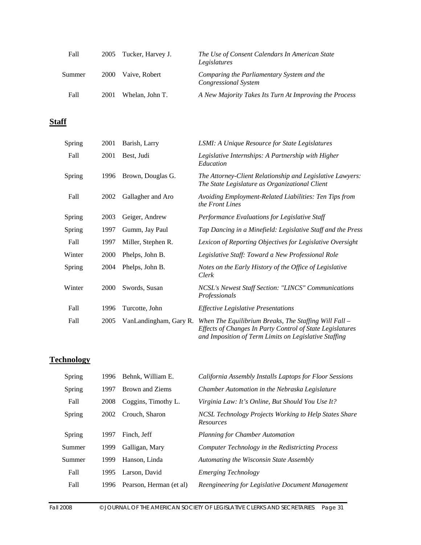| Fall   |      | 2005 Tucker, Harvey J. | The Use of Consent Calendars In American State<br>Legislatures            |
|--------|------|------------------------|---------------------------------------------------------------------------|
| Summer | 2000 | Vaive, Robert          | Comparing the Parliamentary System and the<br><b>Congressional System</b> |
| Fall   | 2001 | Whelan, John T.        | A New Majority Takes Its Turn At Improving the Process                    |

# **Staff**

| Spring | 2001 | Barish, Larry          | <b>LSMI: A Unique Resource for State Legislatures</b>                                                                                                                         |
|--------|------|------------------------|-------------------------------------------------------------------------------------------------------------------------------------------------------------------------------|
| Fall   | 2001 | Best, Judi             | Legislative Internships: A Partnership with Higher<br>Education                                                                                                               |
| Spring | 1996 | Brown, Douglas G.      | The Attorney-Client Relationship and Legislative Lawyers:<br>The State Legislature as Organizational Client                                                                   |
| Fall   | 2002 | Gallagher and Aro      | Avoiding Employment-Related Liabilities: Ten Tips from<br>the Front Lines                                                                                                     |
| Spring | 2003 | Geiger, Andrew         | Performance Evaluations for Legislative Staff                                                                                                                                 |
| Spring | 1997 | Gumm, Jay Paul         | Tap Dancing in a Minefield: Legislative Staff and the Press                                                                                                                   |
| Fall   | 1997 | Miller, Stephen R.     | Lexicon of Reporting Objectives for Legislative Oversight                                                                                                                     |
| Winter | 2000 | Phelps, John B.        | Legislative Staff: Toward a New Professional Role                                                                                                                             |
| Spring | 2004 | Phelps, John B.        | Notes on the Early History of the Office of Legislative<br>Clerk                                                                                                              |
| Winter | 2000 | Swords, Susan          | NCSL's Newest Staff Section: "LINCS" Communications<br>Professionals                                                                                                          |
| Fall   | 1996 | Turcotte, John         | <b>Effective Legislative Presentations</b>                                                                                                                                    |
| Fall   | 2005 | VanLandingham, Gary R. | When The Equilibrium Breaks, The Staffing Will Fall $-$<br>Effects of Changes In Party Control of State Legislatures<br>and Imposition of Term Limits on Legislative Staffing |

# **Technology**

| Spring | 1996 | Behnk, William E.       | California Assembly Installs Laptops for Floor Sessions                   |
|--------|------|-------------------------|---------------------------------------------------------------------------|
| Spring | 1997 | Brown and Ziems         | Chamber Automation in the Nebraska Legislature                            |
| Fall   | 2008 | Coggins, Timothy L.     | Virginia Law: It's Online, But Should You Use It?                         |
| Spring | 2002 | Crouch, Sharon          | NCSL Technology Projects Working to Help States Share<br><b>Resources</b> |
| Spring | 1997 | Finch, Jeff             | <b>Planning for Chamber Automation</b>                                    |
| Summer | 1999 | Galligan, Mary          | Computer Technology in the Redistricting Process                          |
| Summer | 1999 | Hanson, Linda           | Automating the Wisconsin State Assembly                                   |
| Fall   | 1995 | Larson, David           | <i>Emerging Technology</i>                                                |
| Fall   | 1996 | Pearson, Herman (et al) | Reengineering for Legislative Document Management                         |